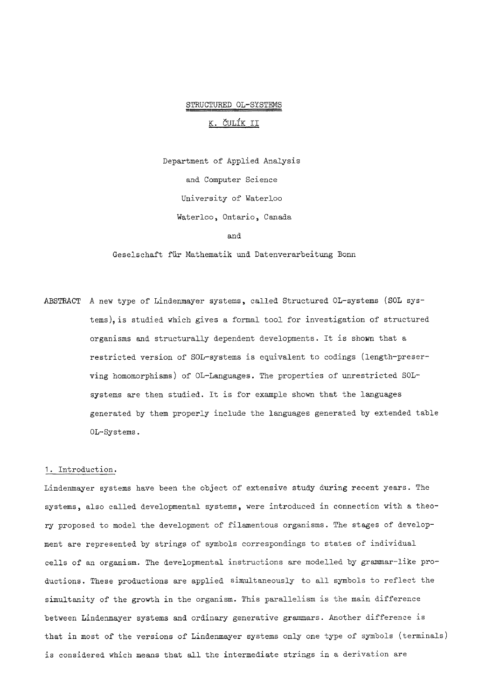### STRUCTURED OL-SYSTEMS

K. ČULÍK II

Department of Applied Analysis and Computer Science University of Waterloo Waterloo, Ontario, Canada

and

Geselschaft fur Mathematik und Datenverarbeitung Bonn

ABSTRACT A new type of Lindenmayer systems, called Structured 0L-systems (SOL systems), is studied which gives a formal tool for investigation of structured organisms and structurally dependent developments. It is shown that a restricted version of SOL-systems is equivalent to codings (length-preserving homomorphisms) of OL-Languages. The properties of unrestricted SOLsystems are then studied. It is for example shown that the languages generated by them properly include the languages generated by extended table OL-Systems.

### I. Introduction.

Lindenmayer systems have been the object of extensive study during recent years. The systems, also called developmental systems, were introduced in connection with a theory proposed to model the development of filamentous organisms. The stages of development are represented by strings of symbols correspondings to states of individual cells of an organism. The developmental instructions are modelled by grammar-like productions. These productions are applied simultaneously to all symbols to reflect the simultanity of the growth in the organism. This parallelism is the main difference between Lindenmayer systems and ordinary generative grammars. Another difference is that in most of the versions of Lindenmayer systems only one type of symbols (terminals) is considered which means that all the intermediate strings in a derivation are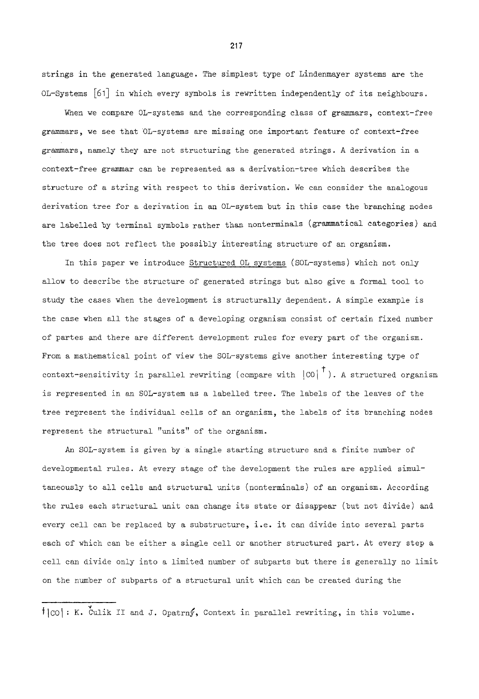strings in the generated language. The simplest type of Lindenmayer systems are the OL-Systems [61] in which every symbols is rewritten independently of its neighbours.

When we compare OL-systems and the corresponding class of grammars, context-free grammars, we see that OL-systems are missing one important feature of context-free grammars, namely they are not structuring the generated strings. A derivation in a context-free grammar can be represented as a derivation-tree which describes the structure of a string with respect to this derivation. We can consider the analogous derivation tree for a derivation in an OL-system but in this case the branching nodes are labelled by terminal symbols rather than nonterminals (grammatical categories) and the tree does not reflect the possibly ihteresting structure of an organism.

In this paper we introduce Structured OL systems (SOL-systems) which not only allow to describe the structure of generated strings but also give a formal tool to study the cases when the development is structurally dependent. A simple example is the case when all the stages of a developing organism consist of certain fixed number of partes and there are different development rules for every part of the organism. From a mathematical point of view the SOL-systems give another interesting type of context-sensitivity in parallel rewriting (compare with  $|{\rm col}|^{\dagger}$ ). A structured organism is represented in an SOL-system as a labelled tree. The labels of the leaves of the tree represent the individual cells of an organism, the labels of its branching nodes represent the structural "units" of the organism.

An SOL-system is given by a single starting structure and a finite number of developmental rules. At every stage of the development the rules are applied simultaneously to all cells and structural units (nonterminals) of an organism. According the rules each structural unit can change its state or disappear (but not divide) and every cell can be replaced by a substructure, i.e. it can divide into several parts each of which can be either a single cell or another structured part. At every step a cell can divide only into a limited number of subparts but there is generally no limit on the number of subparts of a structural unit which can be created during the

 $\dagger$ |CO|: K. Culik II and J. Opatrn $\circ$ , Context in parallel rewriting, in this volume.

217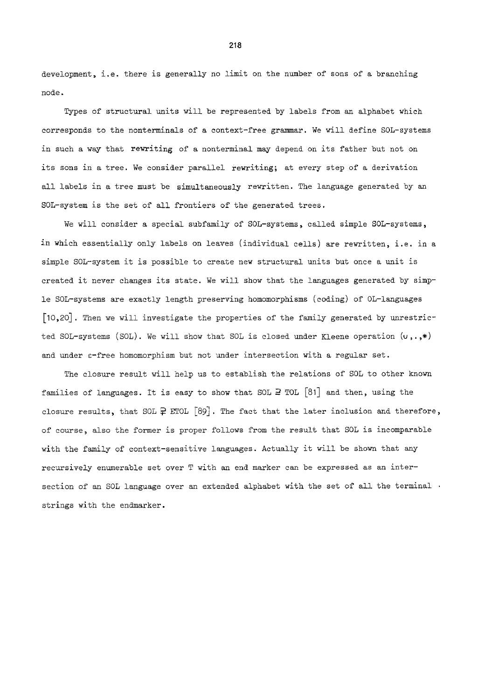development, i.e. there is generally no limit on the number of sons of a branching node.

Types of structural units will be represented by labels from an alphabet which corresponds to the nonterminals of a context-free grammar. We will define SOL-systems in such a way that rewriting of a nonterminal may depend on its father but not on its sons in a tree. We consider parallel rewriting; at every step of a derivation all labels in a tree must be simultaneously rewritten. The language generated by an SOL-system is the set of all frontiers of the generated trees.

We will consider a special subfamily of SOL-systems, called simple SOL-systems, in which essentially only labels on leaves (individual cells) are rewritten, i.e. in a simple SOL-system it is possible to create new structural units but once a unit is created it never changes its state. We will show that the languages generated by simple SOL-systems are exactly length preserving *homomorphisms* (coding) of OL-languages [10,20]. Then we will investigate the properties of the family generated by unrestricted SOL-systems (SOL). We will show that SOL is closed under Kleene *operation (u,.,~)*  and under e-free homomorphism but not under intersection with a regular set.

The closure result will help us to establish the relations of SOL to other known families of languages. It is easy to show that SOL  $\supseteq$  TOL [81] and then, using the closure results, that SOL  $\cong$  ETOL [89]. The fact that the later inclusion and therefore, of course, also the former is proper follows from the result that SOL is incomparable with the family of context-sensitive languages. Actually it will be shown that any recursively enumerable set over T with an end *marker* can be expressed as an intersection of an SOL language over an extended alphabet with the set of all the terminal . strings with the endmarker.

218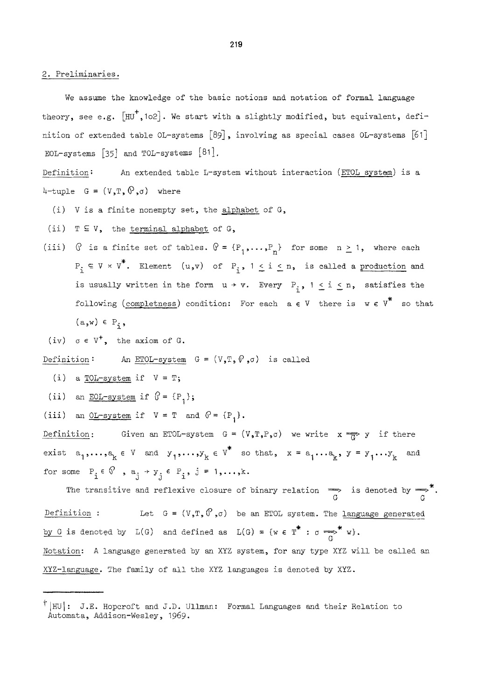2. Preliminaries.

We assume the knowledge of the basic notions and notation of formal language theory, see e.g.  $[HU^+, 102]$ . We start with a slightly modified, but equivalent, definition of extended table OL-systems  $[89]$ , involving as special cases OL-systems  $[61]$  $EOL-systems$  [35] and TOL-systems  $[81]$ .

Definition: An extended table L-system without interaction (ETOL system) is a 4-tuple  $G = (V, T, \Omega, \sigma)$  where

- (i) V is a finite nonempty set, the alphabet of  $G$ ,
- (ii)  $T \subseteq V$ , the terminal alphabet of G,
- (iii)  $\varnothing$  is a finite set of tables.  $\varnothing = {\{P_1, \ldots, P_n\}}$  for some  $n \geq 1$ , where each  $P_i \in V \times V^*$ . Element (u,v) of  $P_i$ ,  $1 \le i \le n$ , is called a production and is usually written in the form  $u \rightarrow v$ . Every  $P_i$ ,  $1 \leq i \leq n$ , satisfies the following (completness) condition: For each  $a \in V$  there is  $w \in V^*$  so that  $(a,y) \in P_i$ ,
- (iv)  $\sigma \in V^+$ , the axiom of G.

Definition: An ETOL-system  $G = (V, T, \hat{V}, \sigma)$  is called

- (i) a TOL-system if  $V = T$ ;
- (ii) an <u>EOL-system</u> if  $\hat{V} = \{P_1\};$
- (iii) an <u>OL-system</u> if  $V = T$  and  $\theta = \{P_1\}.$

Definition: Given an ETOL-system  $G = (V,T,P,\sigma)$  we write  $x \frac{\sigma}{G}$  y if there exist  $a_1, \ldots, a_k \in V$  and  $y_1, \ldots, y_k \in V^*$  so that,  $x = a_1 \ldots a_k$ ,  $y = y_1 \ldots y_k$  and for some  $P_i \in \mathcal{P}$ ,  $a_i \rightarrow y_i \in P_i$ ,  $j = 1,...,k$ .

The transitive and reflexive closure of binary relation  $\implies$  is denoted by  $\implies$  . Definition : Let  $G = (V, T, \mathcal{C}, \sigma)$  be an ETOL system. The language generated by G is denoted by  $L(G)$  and defined as  $L(G) = \{w \in T : \sigma \implies w\}.$ Notation: A language generated by an XYZ system, for any type XYZ will be called an XYZ-lamguage. The family of all the XYZ languages is denoted by XYZ.

<sup>&#</sup>x27;|HU|: J.E. Hopcroft and J.D. Ullman: Formal Languages and their Relation to Automata, Addison-Wesley, 1969.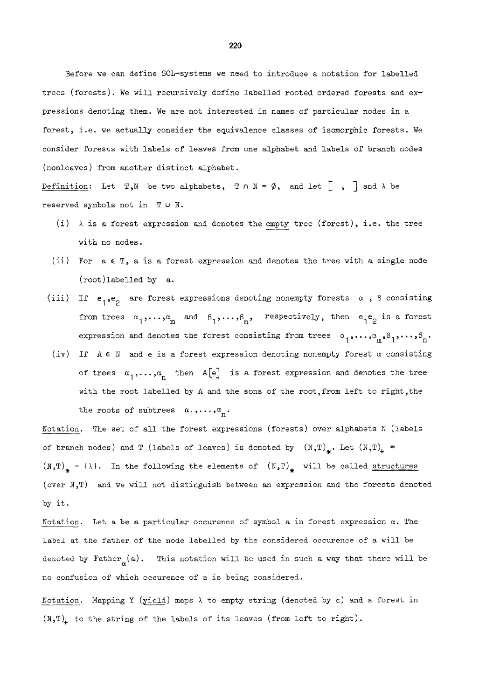Before we can define SOL-systems we need to introduce a notation for labelled trees (forests). We will recursively define labelled rooted ordered forests and expressions denoting them. We are not interested in names of particular nodes in a forest, i.e. we actually consider the equivalence classes of isomorphic forests. We consider forests with labels of leaves from one alphabet and labels of branch nodes (nonleaves) from another distinct alphabet.

Definition: Let T,N be two alphabets,  $T \wedge N = \varnothing$ , and let  $| \qquad , \qquad |$  and  $\lambda$  be reserved symbols not in  $T \cup N$ .

- (1)  $\lambda$  is a forest expression and denotes the empty tree (forest), i.e. the tree with no nodes.
- (ii) For  $a \in \mathbb{T}$ , a is a forest expression and denotes the tree with a single node (root)labelled by a.
- (iii) If  $e_1, e_2$  are forest expressions denoting nonempty forests  $\alpha$ ,  $\beta$  consisting from trees  $\alpha_1, \ldots, \alpha_m$  and  $\beta_1, \ldots, \beta_n$ , respectively, then  $e_1e_2$  is a forest expression and denotes the forest consisting from trees  $\alpha_1,\ldots,\alpha_m,\beta_1,\ldots,\beta_n$ .
- (iv) If  $A \in N$  and e is a forest expression denoting nonempty forest  $\alpha$  consisting of trees  $\alpha_1, \ldots, \alpha_n$  then A[e] is a forest expression and denotes the tree with the root labelled by A and the sons of the root, from left to right, the the roots of subtrees  $\alpha_1,\ldots,\alpha_n$ .

Notation. The set of all the forest expressions (forests) over alphabets N (labels of branch nodes) and T (labels of leaves) is denoted by  $(N,T)_*$ . Let  $(N,T)_+$  =  $(N, T)_{*}$  -  $\{\lambda\}$ . In the following the elements of  $(N, T)_{*}$  will be called structures (over N,T) and we will not distinguish between an expression and the forests denoted by it.

Notation. Let a be a particular occurence of symbol a in forest expression  $\alpha$ . The label at the father of the node labelled by the considered occurence of a will be denoted by Father  $($ a). This notation will be used in such a way that there will be no confusion of which oceurence of a is being considered.

Notation. Mapping Y (yield) maps  $\lambda$  to empty string (denoted by  $\varepsilon$ ) and a forest in  $(N, T)$  to the string of the labels of its leaves (from left to right).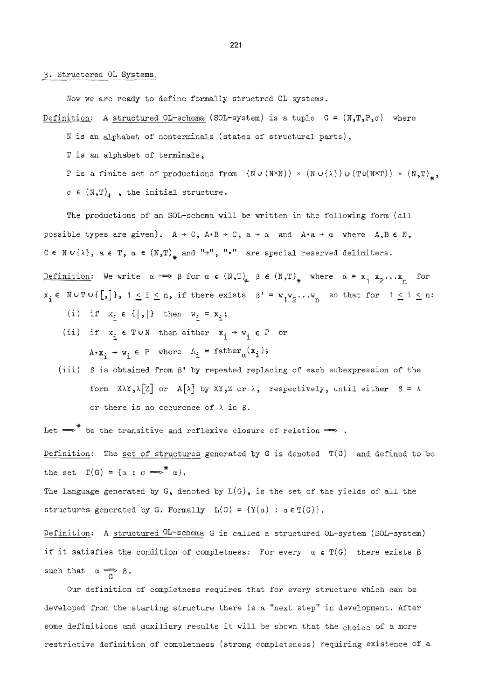### 3. Structered OL Systems.

Now we are ready to define formally structred 0L systems.

Definition: A structured OL-schema (SOL-system) is a tuple  $G = (N,T,P,\sigma)$  where

N is an alphabet of nonterminals (states of structural parts),

T is an alphabet of terminals,

P is a finite set of productions from (N∪(N×N)) × (N∪{λ})∪(T∪(N×T)) × (N,T).,

 $\sigma \in (N,T)_+$ , the initial structure.

The productions of an SOL-schema will be written in the following form (all possible types are given).  $A \rightarrow C$ ,  $A \cdot B \rightarrow C$ ,  $a \rightarrow \alpha$  and  $A \cdot a \rightarrow \alpha$  where  $A, B \in N$ ,  $C \in N \cup \{\lambda\}, \ a \in T, \ \alpha \in (N, T)_{\#}$  and " $\rightarrow$ ", "." are special reserved delimiters.

Definition: We write  $\alpha \implies \beta$  for  $\alpha \in (N, T)_{\neq}$   $\beta \in (N, T)_{\neq}$  where  $\alpha = x_1 x_2 \dots x_n$  for  $x_i \in \mathbb{N} \cup \mathbb{T} \cup \{\left[\begin{matrix}, \\ j\end{matrix}\right], 1 \leq i \leq n$ , if there exists  $\beta' = w_1w_2 \dots w_n$  so that for  $1 \leq i \leq n$ :

- (i) if  $x_i \in \{ | , | \}$  then  $w_i = x_i;$
- (ii) if  $x_i \in T \cup N$  then either  $x_i \rightarrow w_i \in P$  or  $A \cdot x_i \rightarrow w_i \in P$  where  $A_i = \text{father}_{\alpha}(x_i);$
- (iii)  $\beta$  is obtained from  $\beta'$  by repeated replacing of each subexpression of the form X $X$ X, $\lambda$ [Z] or A[ $\lambda$ ] by XY,Z or  $\lambda$ , respectively, until either  $\beta = \lambda$ or there is no occurence of  $\lambda$  in  $\beta$ .

Let  $\Rightarrow^*$  be the transitive and reflexive closure of relation  $\Rightarrow$ .

Definition: The set of structures generated by G is denoted T(G) and defined to be the set  $T(G) = \{\alpha : \sigma \Longrightarrow^* \alpha\}.$ 

The language generated by G, denoted by  $L(G)$ , is the set of the yields of all the structures generated by G. Formally  $L(G) = {Y(\alpha) : \alpha \in T(G)}$ .

Definition: A structured OL-schema G is called a structured OL-system (SOL-system) if it satisfies the condition of completness: For every  $\alpha \in T(G)$  there exists  $\beta$ such that  $\alpha \Rightarrow \beta$ .

Our definition of completness requires that for every structure which can be developed from the starting structure there is a "next step" in development. After some definitions and auxiliary results it will be shown that the choice of a more restrictive definition of completness (strong completeness) requiring existence of a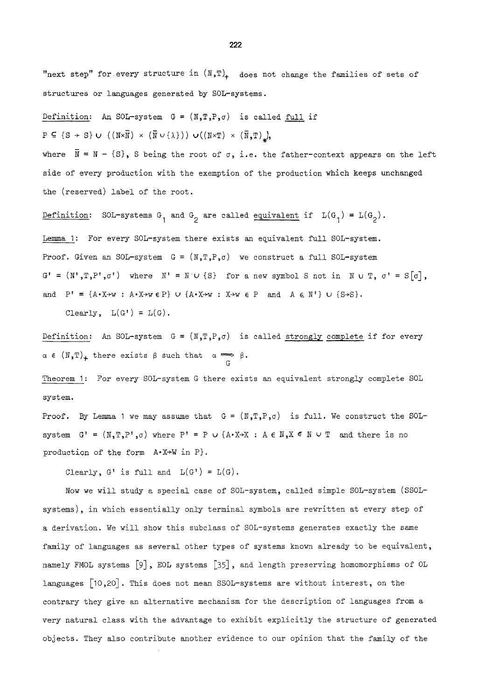"next step" for every structure in  $(N, T)_r$  does not change the families of sets of structures or languages generated by SOL-systems.

Definition: An SOL-system  $G = (N, T, P, \sigma)$  is called full if  $P \subseteq \{S \rightarrow S\} \cup ((N \times \overline{N}) \times (\overline{N} \cup \{\lambda\})) \cup ((N \times T) \times (\overline{N}, T))$ 

where  $\bar{N} = N - \{S\}$ , S being the root of  $\sigma$ , i.e. the father-context appears on the left side of every production with the exemption of the production which keeps unchanged the (reserved) label of the root.

Definition: SOL-systems G<sub>1</sub> and G<sub>2</sub> are called equivalent if  $L(G_1) = L(G_2)$ . Lemma ]: For every SOL-system there exists an equivalent full SOL-system. Proof. Given an SOL-system  $G = (N, T, P, \sigma)$  we construct a full SOL-system  $G' = (N', T, P', \sigma')$  where  $N' = N \cup \{S\}$  for a new symbol S not in  $N \cup T, \sigma' = S[\sigma],$ and  $P' = {A \cdot X \rightarrow w : A \cdot X \rightarrow w \in P} \cup {A \cdot X \rightarrow w : X \rightarrow w \in P}$  and  $A \in N'$   $\cup$  {S $\rightarrow$ S}.

Clearly,  $L(G') = L(G)$ .

Definition: An SOL-system  $G = (N, T, P, \sigma)$  is called strongly complete if for every  $\epsilon$  (N,T)<sub>+</sub> there exists  $\beta$  such that  $\alpha \implies \beta$ .<br>G

Theorem I: For every SOL-system G there exists an equivalent strongly complete SOL system.

Proof. By Lemma 1 we may assume that  $G = (\mathbb{N}, \mathbb{T}, P, \sigma)$  is full. We construct the SOLsystem  $G' = (N,T,P',\sigma)$  where  $P' = P \cup \{A*X\}$  :  $A \in N, X \in N \cup T$  and there is no production of the form A.X+W in P}.

Clearly,  $G'$  is full and  $L(G') = L(G)$ .

Now we will study a special case of SOL-system, called simple SOL-system (SSOLsystems), in which essentially only terminal symbols are rewritten at every step of a derivation. We will show this subclass of SOL-systems generates exactly the same family of languages as several other types of systems known already to be equivalent, namely FMOL systems [9]~ E0L systems [35], and length preserving homomorphisms of OL languages EIO,20]. This does not mean SSOL-systems are without interest, on the contrary they give an alternative mechanism for the description of languages from a very natural class with the advantage to exhibit explicitly the structure of generated objects. They also contribute another evidence to our opinion that the family of the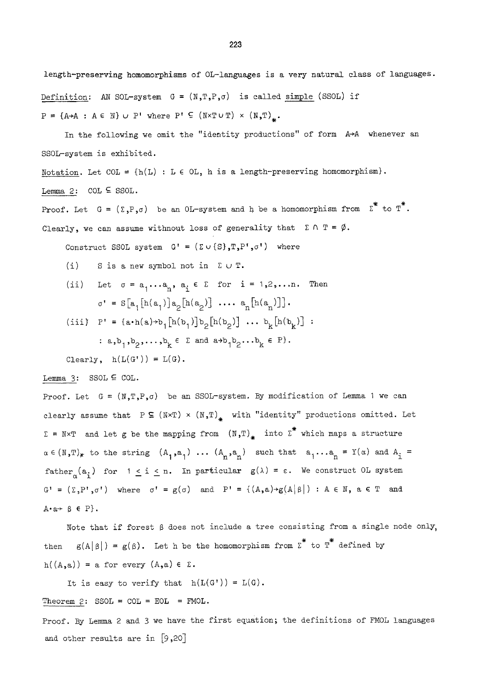length-preserving homomorphisms of OL-languages is a very natural class of languages. Definition: AN SOL-system  $G = (N, T, P, \sigma)$  is called simple (SSOL) if  $P = {A+A : A \in \mathbb{N}} \cup P'$  where  $P' \subseteq (N \times T \cup T) \times (N,T)_*$ .

In the following we omit the "identity productions" of form A÷A whenever an SSOL-system is exhibited.

Notation. Let  $COL = {h(L)} : L \in OL$ , h is a length-preserving homomorphism}.

## Lemma 2:  $COL \subseteq SSCL$ .

Proof. Let  $G = (\Sigma, P, \sigma)$  be an OL-system and h be a homomorphism from  $\Sigma^*$  to  $T^*$ . Clearly, we can assume withnout loss of generality that  $\Sigma \cap T = \emptyset$ .

Construct SSOL system  $G' = (\Sigma \cup \{S\}, T, P', \sigma')$  where

- (i) S is a new symbol not in  $\Sigma \cup T$ .
- (ii) Let  $\sigma = a_1 \ldots a_n$ ,  $a_i \in \Sigma$  for  $i = 1, 2, \ldots n$ . Then  $\sigma' = S[a_1[h(a_1)]a_2[h(a_2)] \ldots a_n[h(a_n)]].$
- $(\texttt{iii})~~\mathbf{P'} = \{\mathbf{a}\cdot\mathbf{h}(\mathbf{a})\texttt{}+\!\mathbf{b}_1\big[\mathbf{h}(\mathbf{b}_1)\big]\mathbf{b}_2\big[\mathbf{h}(\mathbf{b}_2)\big]~\dots~\mathbf{b}_\mathbf{k}\big[\mathbf{h}(\mathbf{b}_\mathbf{k})\big]~:$ :  $a, b_1, b_2, \ldots, b_k \in \Sigma$  and  $a \rightarrow b_1 b_2 \ldots b_k \in P$ . Clearly,  $h(L(G^{\dagger})) = L(G)$ .

Lemma  $3:$  SSOL  $\subseteq$  COL.

Proof. Let  $G = (N,T,P,\sigma)$  be an SSOL-system. By modification of Lemma 1 we can clearly assume that  $P \subseteq (N\times T) \times (N,T)_{*}$  with "identity" productions omitted. Let  $\Sigma = N \times T$  and let g be the mapping from  $(N, T)_*$  into  $\Sigma^*$  which maps a structure  $\alpha \in (N, T)_*$  to the string  $(A_1, a_1)$  ...  $(A_n, a_n)$  such that  $a_1 \ldots a_n = Y(\alpha)$  and  $A_i =$  $father_{\alpha}(a_i)$  for  $1 \leq i \leq n$ . In particular  $g(\lambda) = \varepsilon$ . We construct OL system  $G' = (\Sigma, P', \sigma')$  where  $\sigma' = g(\sigma)$  and  $P' = (\Lambda, a) + g(\Lambda | \beta |) : A \in \mathbb{N}$ ,  $a \in \mathbb{T}$  and  $A \cdot a \rightarrow \beta \in P$ .

Note that if forest  $\beta$  does not include a tree consisting from a single node only, then  $g(A|B|) = g(B)$ . Let h be the homomorphism from  $\chi^*$  to  $T^*$  defined by  $h((A,a)) = a$  for every  $(A,a) \in \Sigma$ .

It is easy to verify that  $h(L(G')) = L(G)$ . Theorem  $2:$  SSOL = COL = EOL = FMOL.

Proof. By Lemma 2 and 3 we have the first equation; the definitions of FMOL languages and other results are in [9,20]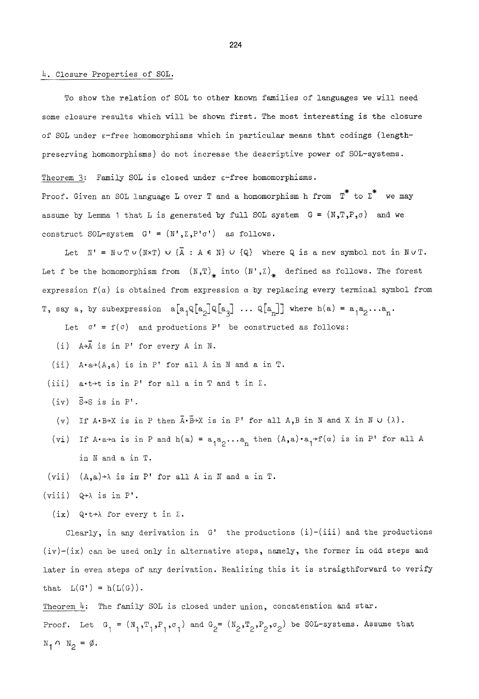### h. Closure Properties of SOL.

To show the relation of SOL to other known families of languages we will need some closure results which will be shown first. The most interesting is the closure of SOL under s-free homomorphisms which in particular means that codings (lengthpreserving homomorphisms) do not increase the descriptive power of SOL-systems.

Theorem 3: Family SOL is closed under  $\varepsilon$ -free homomorphisms.

Proof. Given an SOL language L over T and a homomorphism h from  $T^*$  to  $\Sigma^*$  we may assume by Lemma 1 that L is generated by full SOL system  $G = (N, T, P, \sigma)$  and we construct SOL-system  $G' = (N', \Sigma, P' \sigma')$  as follows.

Let  $N' = N \cup T \cup (N \times T) \cup {\overline{A}} : A \in N$   $\cup$  {Q} where Q is a new symbol not in N $\cup$  T. Let f be the homomorphism from  $(N,T)_*$  into  $(N',\Sigma)_*$  defined as follows. The forest expression  $f(\alpha)$  is obtained from expression  $\alpha$  by replacing every terminal symbol from T, say a, by subexpression  $a[a_1Q[a_2]Q[a_3] \ldots Q[a_n]]$  where h(a) =  $a_1a_2...a_n$ .

Let  $\sigma' = f(\sigma)$  and productions P' be constructed as follows:

- (i) A+A is in P' for every A in N.
- (ii)  $A \cdot a \rightarrow (A, a)$  is in P' for all A in N and a in T.
- (iii) a.t+t is in P' for all a in T and t in  $\Sigma$ .
- $(iv)$   $\bar{S} \rightarrow S$  is in P'.
- (v) If A.B+X is in P then  $\overline{A}$ .  $\overline{B}$ +X is in P' for all A,B in N and X in N u { $\lambda$ }.
- (vi) If  $A \cdot a \rightarrow a$  is in P and  $h(a) = a_1 a_2 \ldots a_n$  then  $(A, a) \cdot a_1 \rightarrow f(a)$  is in P' for all A in N and a in T.
- (vii)  $(A,a) \rightarrow \lambda$  is in P' for all A in N and a in T.

(viii)  $Q \rightarrow \lambda$  is in P'.

(ix) Q·t→ $\lambda$  for every t in  $\Sigma$ .

Clearly, in any derivation in G' the productions (i)-(iii) and the productions (iv)-(ix) can be used only in alternative steps, namely, the former in odd steps and later in even steps of any derivation. Realizing this it is straigthforward to verify that  $L(G') = h(L(G))$ .

Theorem 4: The family SOL is closed under union, concatenation and star. Proof. Let  $G_1 = (N_1, T_1, P_1, \sigma_1)$  and  $G_2 = (N_2, T_2, P_2, \sigma_2)$  be SOL-systems. Assume that  $\mathbb{N}_1 \cap \mathbb{N}_2 = \emptyset$ .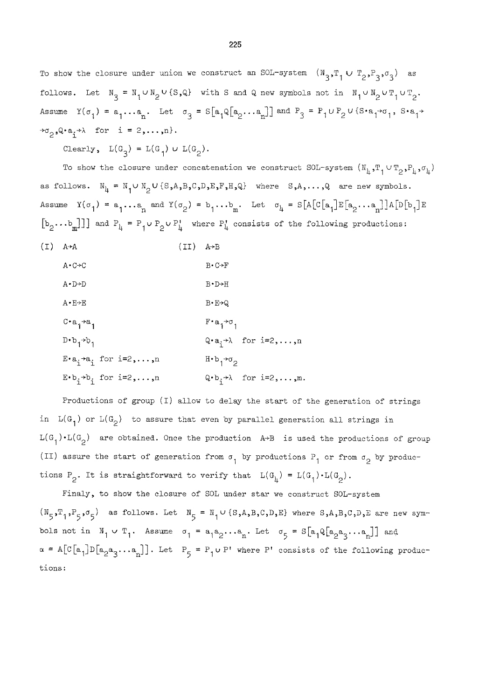To show the closure under union we construct an SOL-system  $(N_{3},T_{1} \cup T_{2},P_{3},\sigma_{3})$  as follows. Let  $N_2 = N_1 \cup N_2 \cup \{S, Q\}$  with S and Q new symbols not in  $N_1 \cup N_2 \cup T_1 \cup T_2$ . Assume  $I(\sigma_1) = a_1 \cdots a_n$ . Let  $\sigma_2 = b[a_1 a_1 a_2 \cdots a_n]$  and  $r_3 = r_1 \cup r_2 \cup b \cdot a_1 a_2 \cdots a_1 a_1$  $\rightarrow \sigma_2, Q \cdot a_i \rightarrow \lambda$  for i = 2,...,n}.

Clearly,  $L(G_q) = L(G_q) \cup L(G_q)$ .

To show the closure under concatenation we construct SOL-system  $(N_h, T_1 \cup T_2, P_h, \sigma_h)$ as follows.  $N_{\parallel} = N_1 \cup N_2 \cup \{S, A, B, C, D, E, F, H, Q\}$  where  $S, A, ..., Q$  are new symbols. Assume  $Y(\sigma_1) = a_1 \ldots a_n$  and  $Y(\sigma_2) = b_1 \ldots b_m$ . Let  $\sigma_1 = S[A[C[a_1]E[a_2 \ldots a_n]]A[D[b_1]E(a_2 \ldots a_m]]$  $\begin{bmatrix} b_0 \cdots b_m \end{bmatrix}$ ] and  $P_h = P_1 \cup P_2 \cup P_h'$  where  $P_h'$  consists of the following productions:

(I)  $A \rightarrow A$  (II)  $A \rightarrow B$  $\text{A} \cdot \text{C} \!\rightarrow\!\! \text{C} \qquad \qquad \text{B} \cdot \text{C} \!\rightarrow\!\! \text{F}$  $\text{A}\bullet\text{D}\!\!\rightarrow\!\text{D}\qquad \qquad \text{B}\bullet\text{D}\!\!\rightarrow\!\text{H}$  $A \cdot E \rightarrow E$  B  $B \cdot E \rightarrow Q$  $C \cdot a_1 \rightarrow a_1$  F $\cdot a_1 \rightarrow \sigma_1$  $D \cdot b_1 \rightarrow b_1$   $Q \cdot a_1 \rightarrow \lambda$  for  $i=2,\ldots,n$  $E \cdot a_i \rightarrow a_i$  for  $i=2,\ldots,n$   $H \cdot b_i \rightarrow \sigma_2$  $E \cdot b_i \rightarrow b_i$  for  $i=2,...,n$  Q.b.<sub>i</sub>  $\rightarrow \lambda$  for  $i=2,...,m$ .

Productions of group (I) allow to delay the start of the generation of strings in  $L(G_1)$  or  $L(G_2)$  to assure that even by parallel generation all strings in  $L(G_1)\cdot L(G_2)$  are obtained. Once the production A+B is used the productions of group (II) assure the start of generation from  $\sigma_1$  by productions  $P_1$  or from  $\sigma_2$  by productions  $P_2$ . It is straightforward to verify that  $L(G_h) = L(G_1) \cdot L(G_2)$ .

Finaly, to show the closure of SOL under star we construct SOL-system  $(N_{5},T_{1},T_{5},\sigma_{5})$  as follows. Let  $N_{5} = N_{4} \cup \{S,A,B,C,D,E\}$  where  $S,A,B,C,D,E$  are new symbols not in  $N_1 \vee T_1$ . Assume  $\sigma_1 = a_1 a_2 \cdots a_n$ . Let  $\sigma_5 = S[a_1 Q[a_2 a_3 \cdots a_n]]$  and  $=$  A[C[a<sub>1</sub>]D[a<sub>2</sub>a<sub>3</sub>...a<sub>n</sub>]]. Let  $P_5 = P_1 \cup P'$  where P' consists of the following productions: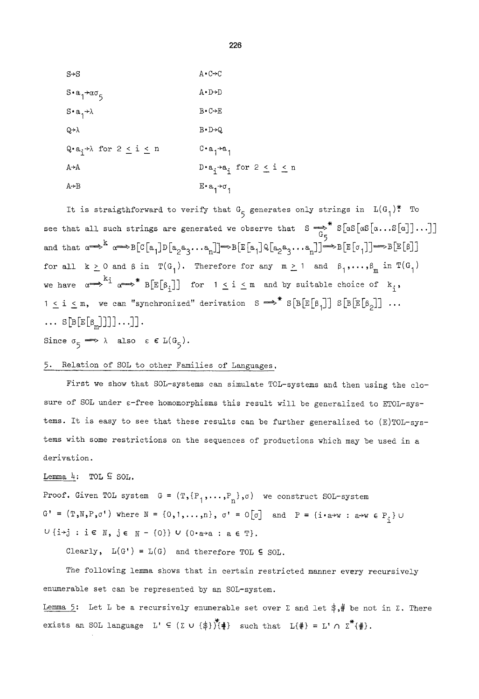| $S + S$                                                 | $A \cdot C \rightarrow C$                           |
|---------------------------------------------------------|-----------------------------------------------------|
| $s_{a_1}a_0$                                            | A∙D→D                                               |
| $S \cdot a_1 \rightarrow \lambda$                       | $B \cdot C \rightarrow E$                           |
| Q→λ                                                     | $B \cdot D \rightarrow Q$                           |
| $Q \cdot a_i \rightarrow \lambda$ for $2 \leq i \leq n$ | $0 \cdot a_1 \cdot a_1$                             |
| A→A                                                     | $D \cdot a_i \rightarrow a_i$ for $2 \leq i \leq n$ |
| A→B                                                     | $E \cdot a_1 \rightarrow o_1$                       |

It is straigthforward to verify that  $G_{\epsilon}$  generates only strings in  $L(G_1)^*$  To see that all such strings are generated we observe that  $S \underset{G_r}{\longrightarrow}^* S[\alpha S[\alpha S[\alpha \dots S[\alpha]]\dots]]$  $^{\circ}$ 5 and that  $\alpha \rightarrow \alpha \rightarrow B[\mathbb{C}[a_{1}]D[a_{2}a_{3}...a_{n}] \rightarrow B[\mathbb{E}[a_{1}]Q[a_{2}a_{3}...a_{n}] \rightarrow B[\mathbb{E}[\sigma_{1}]] \rightarrow B[\mathbb{E}[\sigma_{1}]]$ for all  $k \geq 0$  and  $\beta$  in  $T(G_1)$ . Therefore for any  $m \geq 1$  and  $\beta_1, \ldots, \beta_m$  in  $T(G_1)$ we have  $\alpha \longrightarrow k_1$   $\alpha \longrightarrow k$   $B[E[\beta_1]]$  for  $1 \leq i \leq m$  and by suitable choice of  $k_1$ ,  $1 \leq i \leq m$ , we can "synchronized" derivation  $S \implies^* S[B[E[\beta_1]] S[B[E[\beta_2]]] ...$  $\ldots$  **s**  $\mathbb{E}\left[\mathbb{E}\left[\mathbb{B}_{m}\right]\right]\right]\left[\ldots\right]$ . Since  $\sigma_5 \implies \lambda$  also  $\varepsilon \in L(G_5)$ .

## 5. Relation of SOL to other Families of Languages.

First we show that SOL-systems can simulate TOL-systems and then using the closure of SOL under  $\varepsilon$ -free homomorphisms this result will be generalized to ETOL-systems. It is easy to see that these results can be further generalized to (E)TOL-systems with some restrictions on the sequences of productions which may be used in a derivation.

# Lemma  $4:$  TOL  $\subseteq$  SOL.

Proof. Given TOL system  $G = (T, {P_1, \ldots, P_n}, \sigma)$  we construct SOL-system  $G' = (\mathbb{T}, \mathbb{N}, \mathbb{P}, \sigma')$  where  $\mathbb{N} = \{0, 1, \ldots, n\}$ ,  $\sigma' = 0[\sigma]$  and  $P = \{\mathbf{i} \cdot \mathbf{a} * \mathbb{W} : \mathbf{a} * \mathbb{W} \in \mathbb{P}_{\mathbf{i}}\} \cup$  $\cup \ \{\texttt{i} \texttt{+j} \ : \ \texttt{i} \in \ \texttt{N}, \ \texttt{j} \in \ \texttt{N} \ - \ \{\texttt{0}\} \} \ \cup \ \{\texttt{0} \texttt{-a} \texttt{+a} \ : \ \texttt{a} \in \texttt{T}\}.$ 

Clearly,  $L(G') = L(G)$  and therefore TOL  $\subseteq$  SOL.

The following lemma shows that in certain restricted manner every recursively enumerable set can be represented by an SOL-system.

Lemma 5: Let L be a recursively enumerable set over  $\Sigma$  and let  $\frac{4}{3}$ ,  $\frac{4}{7}$  be not in  $\Sigma$ . There exists an SOL language  $L' \subseteq (\Sigma \cup {\{\nexists\}}) \stackrel{*}{\cdot} \frac{4}{4}$  such that  $L\{\nexists\} = L' \cap \Sigma^*(\#\).$ 

**226**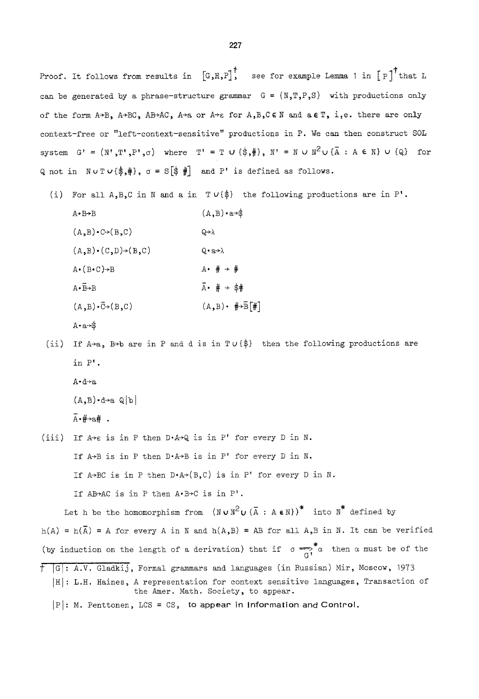Proof. It follows from results in  $[G,H,F]^{\dagger}$  see for example Lemma 1 in  $[r]^{\dagger}$  that L can be generated by a phrase-structure grammar  $G = (N, T, P, S)$  with productions only of the form A $\rightarrow$ B, A $\rightarrow$ BC, AB $\rightarrow$ AC, A $\rightarrow$ a or A $\rightarrow$ s for A,B,C  $\in$ N and a $\in$ T, i,e. there are only context-free or "left-context-sensitive" productions in P. We can then construct SOL system  $G' = (N', T', P', \sigma)$  where  $T' = T \cup {\{\}, \#}, N' = N \cup N^2 \cup {\{\overline{\mathbb{A}}} : \mathbb{A} \in \mathbb{N} \} \cup {\{\mathbb{Q}}\}$  for Q not in  $N \cup T \cup {\{\nexists,\nexists\}}$ ,  $\sigma = S[\nexists \nexists]$  and P' is defined as follows.

(i) For all  $A, B, C$  in N and a in  $T \cup \{\$\}$  the following productions are in P'.  $A \cdot B \rightarrow B$   $(A, B) \cdot a \rightarrow B$  $(A, B) \cdot C \rightarrow (B, C)$   $Q \rightarrow \lambda$  $(A, B) \cdot (C, D) \rightarrow (B, C)$  Q·a<sup>→</sup> $\lambda$  $A \cdot (B \cdot C) \rightarrow B$   $A \cdot \# \rightarrow \#$  $A \cdot \overline{B} \rightarrow B$  **a** *A A A A A A A A A A A A A A*  $(A, B) \cdot \overline{C} \rightarrow (B, C)$  (A,B).  $\# \rightarrow \overline{B} [\#]$ 

**A" a-~\$** 

(ii) If A+a, B+b are in P and d is in  $T \cup {\{\n}$  then the following productions are in P'. A-d+a

 $(A,B)\cdot d\rightarrow a Q|b|$ 

 $\bar{A} \cdot \# \rightarrow a \#$ .

(iii) If  $A\rightarrow \varepsilon$  is in P then D.A $\rightarrow Q$  is in P' for every D in N. If  $A \rightarrow B$  is in P then  $D \cdot A \rightarrow B$  is in P' for every D in N. If A  $\rightarrow$  BC is in P then D $\cdot$ A  $\rightarrow$  (B,C) is in P' for every D in N. If AB+AC is in P then A.B+C is in P'.

Let h be the homomorphism from  $(N \vee N^2 \vee {\overline{A}} : A \in N)^*$  into  $N^*$  defined by  $h(A) = h(\overline{A}) = A$  for every A in N and  $h(A,B) = AB$  for all A,B in N. It can be verified (by induction on the length of a derivation) that if  $\sigma = \frac{1}{\sigma} \alpha$  then  $\alpha$  must be of the

 $|P|: M.$  Penttonen, LCS = CS, to appear in Information and Control.

IGI: A.V. Gladkij, Formal grammars and languages (in Russian) Mir, Moscow, 1973 IHI: L.H. Haines, A representation for context sensitive languages, Transaction of the Amer. Math. Society, to appear.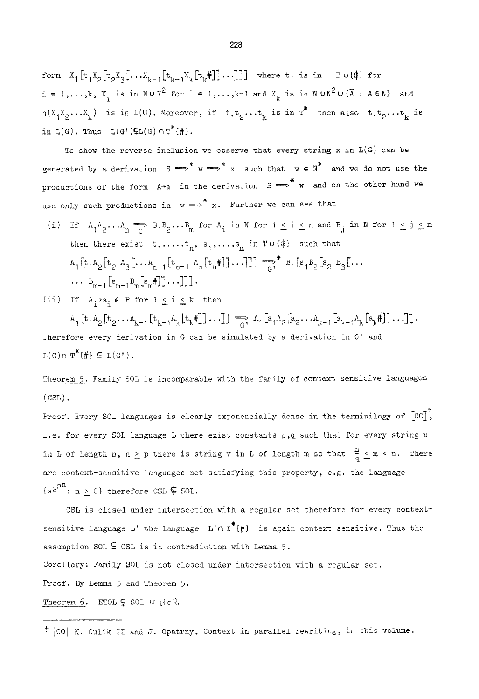form  $X_1[t_1X_2[t_2X_3[\ldots X_{k-1}[t_{k-1}X_k[t_k]]\ldots]]]$  where  $t_i$  is in Tu{\$} for  $i = 1,...,k$ ,  $X_i$  is in  $N \cup N^2$  for  $i = 1,...,k-1$  and  $X_k$  is in  $N \cup N^2 \cup {\overline{A}}$  :  $A \in N$ } and  $h(X_1X_2...X_k)$  is in  $L(G)$ . Moreover, if  $t_1t_2...t_k$  is in  $T^*$  then also  $t_1t_2...t_k$  is in  $L(G)$ . Thus  $L(G')\subseteq L(G)\cap T^*(\#)$ .

To show the reverse inclusion we observe that every string  $x$  in  $L(G)$  can be generated by a derivation  $S \rightarrow^* w \rightarrow^* x$  such that  $w \in N^*$  and we do not use the productions of the form A+a in the derivation  $S \implies^* w$  and on the other hand we use only such productions in  $w \Rightarrow x$ . Further we can see that

- (i) If  $A_1A_2...A_n \Rightarrow B_1B_2...B_m$  for  $A_i$  in N for  $1 \le i \le n$  and  $B_i$  in N for  $1 \le j \le m$ then there exist  $t_1,\ldots,t_n, s_1,\ldots,s_m$  in  $T\cup\{\frac{k}{r}\}$  such that  $A_1[t_1A_2[t_2 A_3[\ldots A_{n-1}[t_{n-1} A_n[t_n]]\ldots]]] \Rightarrow^* B_1[s_1B_2[s_2 B_3[\ldots A_n]]$  $\ldots$   $B_{m-1}$   $\left[ s_{m-1}B_m \left[ s_m \right] \right] \ldots$ ]].
- (ii) If  $A_i \rightarrow a_i$   $\in$  P for  $1 \leq i \leq k$  then

 $A_1[t_1A_2[t_2...A_{k-1}[t_{k-1}A_k[t_k]]...]] \Rightarrow A_1[a_1A_2[a_2...A_{k-1}[a_{k-1}A_k[a_k]]...]]$ Therefore every derivation in G can be simulated by a derivation in G' and  $L(G) \cap T^*{\{\#}\} \subseteq L(G^*)$ .

Theorem 5. Family SOL is incomparable with the family of context sensitive languages (CSL).

Proof. Every SOL languages is clearly exponencially dense in the terminilogy of  $[CO]$ , i.e. for every SOL language L there exist constants p,q such that for every string u in L of length n, n  $\geq$  p there is string v in L of length m so that  $\frac{n}{q} \leq m$  < n. There are context-sensitive languages not satisfying this property, e.g. the language  ${a<sup>2</sup>}$ : n > 0} therefore CSL  $\text{E}$  SOL.

CSL is closed under intersection with a regular set therefore for every contextsensitive language L' the language  $L \cap \Sigma^*$  {#} is again context sensitive. Thus the assumption SOL  $\subseteq$  CSL is in contradiction with Lemma 5.

Corollary: Family SOL is not closed under intersection with a regular set.

Proof. By Lemma 5 and Theorem 5-

Theorem 6. ETOL  $\subsetneq$  SOL  $\cup$  {{ $\in$ }}.

<sup>&</sup>lt;sup>†</sup> [CO] K. Culik II and J. Opatrny, Context in parallel rewriting, in this volume.